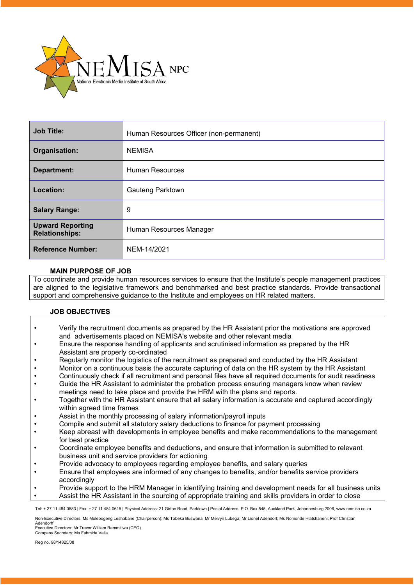

| <b>Job Title:</b>                                | Human Resources Officer (non-permanent) |
|--------------------------------------------------|-----------------------------------------|
| Organisation:                                    | <b>NEMISA</b>                           |
| Department:                                      | <b>Human Resources</b>                  |
| Location:                                        | <b>Gauteng Parktown</b>                 |
| <b>Salary Range:</b>                             | 9                                       |
| <b>Upward Reporting</b><br><b>Relationships:</b> | Human Resources Manager                 |
| <b>Reference Number:</b>                         | NEM-14/2021                             |

# **MAIN PURPOSE OF JOB**

To coordinate and provide human resources services to ensure that the Institute's people management practices are aligned to the legislative framework and benchmarked and best practice standards. Provide transactional support and comprehensive guidance to the Institute and employees on HR related matters.

# **JOB OBJECTIVES**

- Verify the recruitment documents as prepared by the HR Assistant prior the motivations are approved and advertisements placed on NEMISA's website and other relevant media
- Ensure the response handling of applicants and scrutinised information as prepared by the HR Assistant are properly co-ordinated
- Regularly monitor the logistics of the recruitment as prepared and conducted by the HR Assistant
- Monitor on a continuous basis the accurate capturing of data on the HR system by the HR Assistant
- Continuously check if all recruitment and personal files have all required documents for audit readiness
- Guide the HR Assistant to administer the probation process ensuring managers know when review meetings need to take place and provide the HRM with the plans and reports.
- Together with the HR Assistant ensure that all salary information is accurate and captured accordingly within agreed time frames
- Assist in the monthly processing of salary information/payroll inputs
- Compile and submit all statutory salary deductions to finance for payment processing
- Keep abreast with developments in employee benefits and make recommendations to the management for best practice
- Coordinate employee benefits and deductions, and ensure that information is submitted to relevant business unit and service providers for actioning
- Provide advocacy to employees regarding employee benefits, and salary queries
- Ensure that employees are informed of any changes to benefits, and/or benefits service providers accordingly
- Provide support to the HRM Manager in identifying training and development needs for all business units

• Assist the HR Assistant in the sourcing of appropriate training and skills providers in order to close

Tel: + 27 11 484 0583 | Fax: + 27 11 484 0615 | Physical Address: 21 Girton Road, Parktown | Postal Address: P.O. Box 545, Auckland Park, Johannesburg 2006, www.nemisa.co.za

Non-Executive Directors: Ms Molebogeng Leshabane (Chairperson); Ms Tobeka Buswana; Mr Melvyn Lubega; Mr Lionel Adendorf; Ms Nomonde Hlatshaneni; Prof Christian Adendorff

Executive Directors: Mr Trevor William Rammitlwa (CEO) Company Secretary: Ms Fahmida Valla

Reg no. 98/14825/08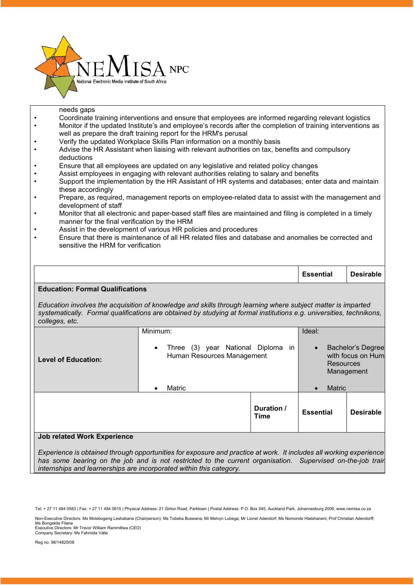

needs gaps

• Coordinate training interventions and ensure that employees are informed regarding relevant logistics • Monitor if the updated Institute's and employee's records after the completion of training interventions as well as prepare the draft training report for the HRM's perusal • Verify the updated Workplace Skills Plan information on a monthly basis • Advise the HR Assistant when liaising with relevant authorities on tax, benefits and compulsory deductions • Ensure that all employees are updated on any legislative and related policy changes • Assist employees in engaging with relevant authorities relating to salary and benefits • Support the implementation by the HR Assistant of HR systems and databases; enter data and maintain these accordingly • Prepare, as required, management reports on employee-related data to assist with the management and development of staff • Monitor that all electronic and paper-based staff files are maintained and filing is completed in a timely manner for the final verification by the HRM • Assist in the development of various HR policies and procedures • Ensure that there is maintenance of all HR related files and database and anomalies be corrected and sensitive the HRM for verification **Essential Desirable Education: Formal Qualifications** *Education involves the acquisition of knowledge and skills through learning where subject matter is imparted systematically. Formal qualifications are obtained by studying at formal institutions e.g. universities, technikons, colleges, etc.* **Level of Education:** Minimum: • Three (3) year National Diploma in Human Resources Management • Matric Ideal: Bachelor's Degree with focus on Huma Resources Management **Matric Duration /** 

### **Job related Work Experience**

*Experience is obtained through opportunities for exposure and practice at work. It includes all working experience has some bearing on the job and is not restricted to the current organisation. Supervised on-the-job train internships and learnerships are incorporated within this category.*

**Time Essential Desirable**

Tel: + 27 11 484 0583 | Fax: + 27 11 484 0615 | Physical Address: 21 Girton Road, Parktown | Postal Address: P.O. Box 545, Auckland Park, Johannesburg 2006, www.nemisa.co.za

Non-Executive Directors: Ms Molebogeng Leshabane (Chairperson); Ms Tobeka Buswana; Mr Melvyn Lubega; Mr Lionel Adendorf; Ms Nomonde Hlatshaneni; Prof Christian Adendorff; Ms Bongekile Filana

Executive Directors: Mr Trevor William Rammitlwa (CEO) Company Secretary: Ms Fahmida Valla

Reg no. 98/14825/08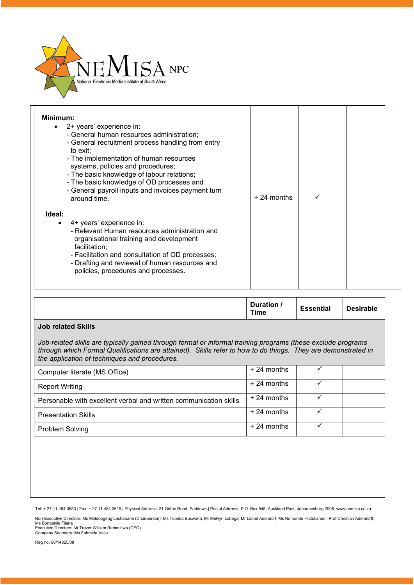

| Minimum:<br>2+ years' experience in:<br>$\bullet$<br>- General human resources administration;<br>- General recruitment process handling from entry<br>to exit;<br>- The implementation of human resources<br>systems, policies and procedures;<br>- The basic knowledge of labour relations;<br>- The basic knowledge of OD processes and<br>- General payroll inputs and invoices payment turn<br>around time. | $+24$ months |  |  |
|------------------------------------------------------------------------------------------------------------------------------------------------------------------------------------------------------------------------------------------------------------------------------------------------------------------------------------------------------------------------------------------------------------------|--------------|--|--|
| Ideal:<br>4+ years' experience in:<br>$\bullet$<br>- Relevant Human resources administration and<br>organisational training and development<br>facilitation:<br>- Facilitation and consultation of OD processes;<br>- Drafting and reviewal of human resources and<br>policies, procedures and processes.                                                                                                        |              |  |  |

| Duration /<br>Time | <b>Essential</b> | <b>Desirable</b> |
|--------------------|------------------|------------------|
|                    |                  |                  |

# **Job related Skills**

*Job-related skills are typically gained through formal or informal training programs (these exclude programs through which Formal Qualifications are attained). Skills refer to how to do things. They are demonstrated in the application of techniques and procedures.*

| Computer literate (MS Office)                                     | $+24$ months |  |
|-------------------------------------------------------------------|--------------|--|
| <b>Report Writing</b>                                             | $+24$ months |  |
| Personable with excellent verbal and written communication skills | $+24$ months |  |
| <b>Presentation Skills</b>                                        | $+24$ months |  |
| Problem Solving                                                   | $+24$ months |  |

Tel: + 27 11 484 0583 | Fax: + 27 11 484 0615 | Physical Address: 21 Girton Road, Parktown | Postal Address: P.O. Box 545, Auckland Park, Johannesburg 2006, www.nemisa.co.za

Non-Executive Directors: Ms Molebogeng Leshabane (Chairperson); Ms Tobeka Buswana; Mr Melvyn Lubega; Mr Lionel Adendorf; Ms Nomonde Hlatshaneni; Prof Christian Adendorff;<br>Ms Bongekile Filana<br>Executive Directors: Mr Trevor